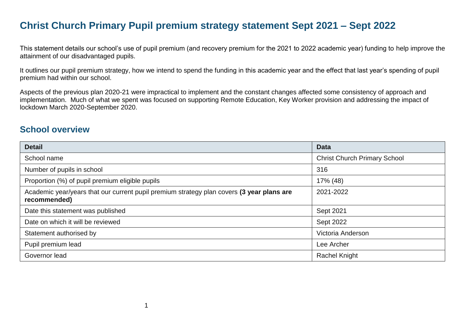### **Christ Church Primary Pupil premium strategy statement Sept 2021 – Sept 2022**

This statement details our school's use of pupil premium (and recovery premium for the 2021 to 2022 academic year) funding to help improve the attainment of our disadvantaged pupils.

It outlines our pupil premium strategy, how we intend to spend the funding in this academic year and the effect that last year's spending of pupil premium had within our school.

Aspects of the previous plan 2020-21 were impractical to implement and the constant changes affected some consistency of approach and implementation. Much of what we spent was focused on supporting Remote Education, Key Worker provision and addressing the impact of lockdown March 2020-September 2020.

#### **School overview**

| <b>Detail</b>                                                                                             | <b>Data</b>                         |
|-----------------------------------------------------------------------------------------------------------|-------------------------------------|
| School name                                                                                               | <b>Christ Church Primary School</b> |
| Number of pupils in school                                                                                | 316                                 |
| Proportion (%) of pupil premium eligible pupils                                                           | 17% (48)                            |
| Academic year/years that our current pupil premium strategy plan covers (3 year plans are<br>recommended) | 2021-2022                           |
| Date this statement was published                                                                         | Sept 2021                           |
| Date on which it will be reviewed                                                                         | Sept 2022                           |
| Statement authorised by                                                                                   | Victoria Anderson                   |
| Pupil premium lead                                                                                        | Lee Archer                          |
| Governor lead                                                                                             | <b>Rachel Knight</b>                |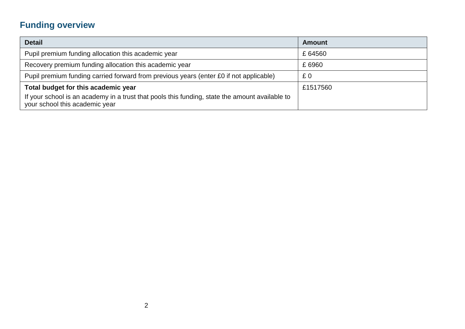# **Funding overview**

| <b>Detail</b>                                                                                                                    | <b>Amount</b> |
|----------------------------------------------------------------------------------------------------------------------------------|---------------|
| Pupil premium funding allocation this academic year                                                                              | £64560        |
| Recovery premium funding allocation this academic year                                                                           | £6960         |
| Pupil premium funding carried forward from previous years (enter £0 if not applicable)                                           | £0            |
| Total budget for this academic year                                                                                              | £1517560      |
| If your school is an academy in a trust that pools this funding, state the amount available to<br>your school this academic year |               |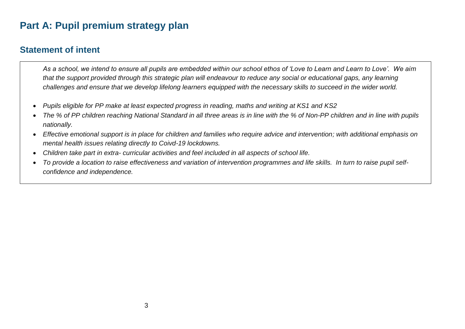# **Part A: Pupil premium strategy plan**

#### **Statement of intent**

*As a school, we intend to ensure all pupils are embedded within our school ethos of 'Love to Learn and Learn to Love'. We aim that the support provided through this strategic plan will endeavour to reduce any social or educational gaps, any learning challenges and ensure that we develop lifelong learners equipped with the necessary skills to succeed in the wider world.* 

- *Pupils eligible for PP make at least expected progress in reading, maths and writing at KS1 and KS2*
- The % of PP children reaching National Standard in all three areas is in line with the % of Non-PP children and in line with pupils *nationally.*
- *Effective emotional support is in place for children and families who require advice and intervention; with additional emphasis on mental health issues relating directly to Coivd-19 lockdowns.*
- *Children take part in extra- curricular activities and feel included in all aspects of school life.*
- *To provide a location to raise effectiveness and variation of intervention programmes and life skills. In turn to raise pupil selfconfidence and independence.*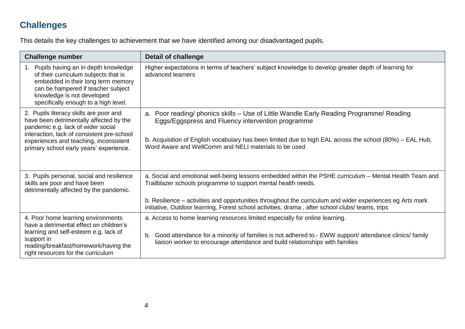## **Challenges**

This details the key challenges to achievement that we have identified among our disadvantaged pupils.

| <b>Challenge number</b>                                                                                                                                                                                                                                    | <b>Detail of challenge</b>                                                                                                                                                                                                                                                                                        |
|------------------------------------------------------------------------------------------------------------------------------------------------------------------------------------------------------------------------------------------------------------|-------------------------------------------------------------------------------------------------------------------------------------------------------------------------------------------------------------------------------------------------------------------------------------------------------------------|
| Pupils having an in depth knowledge<br>$1_{\cdot}$<br>of their curriculum subjects that is<br>embedded in their long term memory<br>can be hampered if teacher subject<br>knowledge is not developed<br>specifically enough to a high level.               | Higher expectations in terms of teachers' subject knowledge to develop greater depth of learning for<br>advanced learners                                                                                                                                                                                         |
| 2. Pupils literacy skills are poor and<br>have been detrimentally affected by the<br>pandemic e.g. lack of wider social<br>interaction, lack of consistent pre-school<br>experiences and teaching, inconsistent<br>primary school early years' experience. | a. Poor reading/ phonics skills – Use of Little Wandle Early Reading Programme/ Reading<br>Eggs/Eggspress and Fluency intervention programme<br>b. Acquisition of English vocabulary has been limited due to high EAL across the school (80%) – EAL Hub,<br>Word Aware and WellComm and NELI materials to be used |
| 3. Pupils personal, social and resilience<br>skills are poor and have been<br>detrimentally affected by the pandemic.                                                                                                                                      | a. Social and emotional well-being lessons embedded within the PSHE curriculum - Mental Health Team and<br>Trailblazer schools programme to support mental health needs.<br>b. Resilience – activities and opportunities throughout the curriculum and wider experiences eg Arts mark                             |
|                                                                                                                                                                                                                                                            | initiative, Outdoor learning, Forest school activities, drama, after school clubs/ teams, trips                                                                                                                                                                                                                   |
| 4. Poor home learning environments<br>have a detrimental effect on children's<br>learning and self-esteem e.g. lack of<br>support in<br>reading/breakfast/homework/having the<br>right resources for the curriculum                                        | a. Access to home learning resources limited especially for online learning.<br>Good attendance for a minority of families is not adhered to.- EWW support/attendance clinics/family<br>b.<br>liaison worker to encourage attendance and build relationships with families                                        |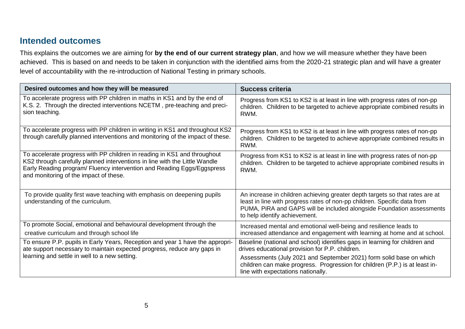#### **Intended outcomes**

This explains the outcomes we are aiming for **by the end of our current strategy plan**, and how we will measure whether they have been achieved. This is based on and needs to be taken in conjunction with the identified aims from the 2020-21 strategic plan and will have a greater level of accountability with the re-introduction of National Testing in primary schools.

| Desired outcomes and how they will be measured                                                                                                                                                                                                                             | <b>Success criteria</b>                                                                                                                                                                                                                                            |
|----------------------------------------------------------------------------------------------------------------------------------------------------------------------------------------------------------------------------------------------------------------------------|--------------------------------------------------------------------------------------------------------------------------------------------------------------------------------------------------------------------------------------------------------------------|
| To accelerate progress with PP children in maths in KS1 and by the end of<br>K.S. 2. Through the directed interventions NCETM, pre-teaching and preci-<br>sion teaching.                                                                                                   | Progress from KS1 to KS2 is at least in line with progress rates of non-pp<br>children. Children to be targeted to achieve appropriate combined results in<br>RWM.                                                                                                 |
| To accelerate progress with PP children in writing in KS1 and throughout KS2<br>through carefully planned interventions and monitoring of the impact of these.                                                                                                             | Progress from KS1 to KS2 is at least in line with progress rates of non-pp<br>children. Children to be targeted to achieve appropriate combined results in<br>RWM.                                                                                                 |
| To accelerate progress with PP children in reading in KS1 and throughout<br>KS2 through carefully planned interventions in line with the Little Wandle<br>Early Reading program/ Fluency intervention and Reading Eggs/Eggspress<br>and monitoring of the impact of these. | Progress from KS1 to KS2 is at least in line with progress rates of non-pp<br>children. Children to be targeted to achieve appropriate combined results in<br>RWM.                                                                                                 |
| To provide quality first wave teaching with emphasis on deepening pupils<br>understanding of the curriculum.                                                                                                                                                               | An increase in children achieving greater depth targets so that rates are at<br>least in line with progress rates of non-pp children. Specific data from<br>PUMA, PiRA and GAPS will be included alongside Foundation assessments<br>to help identify achievement. |
| To promote Social, emotional and behavioural development through the<br>creative curriculum and through school life                                                                                                                                                        | Increased mental and emotional well-being and resilience leads to<br>increased attendance and engagement with learning at home and at school.                                                                                                                      |
| To ensure P.P. pupils in Early Years, Reception and year 1 have the appropri-<br>ate support necessary to maintain expected progress, reduce any gaps in                                                                                                                   | Baseline (national and school) identifies gaps in learning for children and<br>drives educational provision for P.P. children.                                                                                                                                     |
| learning and settle in well to a new setting.                                                                                                                                                                                                                              | Assessments (July 2021 and September 2021) form solid base on which<br>children can make progress. Progression for children (P.P.) is at least in-<br>line with expectations nationally.                                                                           |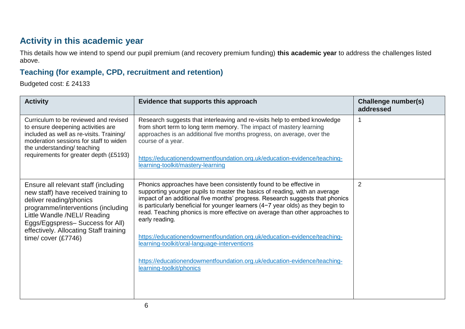### **Activity in this academic year**

This details how we intend to spend our pupil premium (and recovery premium funding) **this academic year** to address the challenges listed above.

#### **Teaching (for example, CPD, recruitment and retention)**

Budgeted cost: £ 24133

| <b>Activity</b>                                                                                                                                                                                                                                                                    | Evidence that supports this approach                                                                                                                                                                                                                                                                                                                                                                                                                                                                                                                                                                                                                        | Challenge number(s)<br>addressed |
|------------------------------------------------------------------------------------------------------------------------------------------------------------------------------------------------------------------------------------------------------------------------------------|-------------------------------------------------------------------------------------------------------------------------------------------------------------------------------------------------------------------------------------------------------------------------------------------------------------------------------------------------------------------------------------------------------------------------------------------------------------------------------------------------------------------------------------------------------------------------------------------------------------------------------------------------------------|----------------------------------|
| Curriculum to be reviewed and revised<br>to ensure deepening activities are<br>included as well as re-visits. Training/<br>moderation sessions for staff to widen<br>the understanding/ teaching<br>requirements for greater depth (£5193)                                         | Research suggests that interleaving and re-visits help to embed knowledge<br>from short term to long term memory. The impact of mastery learning<br>approaches is an additional five months progress, on average, over the<br>course of a year.<br>https://educationendowmentfoundation.org.uk/education-evidence/teaching-<br>learning-toolkit/mastery-learning                                                                                                                                                                                                                                                                                            |                                  |
| Ensure all relevant staff (including<br>new staff) have received training to<br>deliver reading/phonics<br>programme/interventions (including<br>Little Wandle /NELI/ Reading<br>Eggs/Eggspress-Success for All)<br>effectively. Allocating Staff training<br>time/cover $(E7746)$ | Phonics approaches have been consistently found to be effective in<br>supporting younger pupils to master the basics of reading, with an average<br>impact of an additional five months' progress. Research suggests that phonics<br>is particularly beneficial for younger learners (4-7 year olds) as they begin to<br>read. Teaching phonics is more effective on average than other approaches to<br>early reading.<br>https://educationendowmentfoundation.org.uk/education-evidence/teaching-<br>learning-toolkit/oral-language-interventions<br>https://educationendowmentfoundation.org.uk/education-evidence/teaching-<br>learning-toolkit/phonics | $\overline{2}$                   |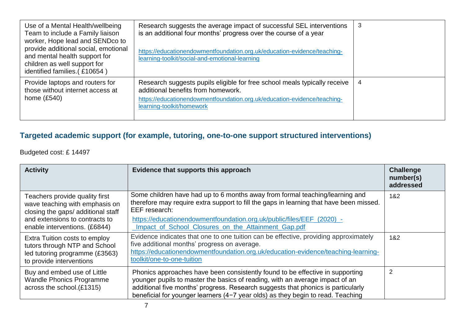| Use of a Mental Health/wellbeing<br>Team to include a Family liaison<br>worker, Hope lead and SENDco to<br>provide additional social, emotional<br>and mental health support for<br>children as well support for<br>identified families. (£10654) | Research suggests the average impact of successful SEL interventions<br>is an additional four months' progress over the course of a year<br>https://educationendowmentfoundation.org.uk/education-evidence/teaching-<br>learning-toolkit/social-and-emotional-learning | 3 |
|---------------------------------------------------------------------------------------------------------------------------------------------------------------------------------------------------------------------------------------------------|------------------------------------------------------------------------------------------------------------------------------------------------------------------------------------------------------------------------------------------------------------------------|---|
| Provide laptops and routers for<br>those without internet access at<br>home $(E540)$                                                                                                                                                              | Research suggests pupils eligible for free school meals typically receive<br>additional benefits from homework.<br>https://educationendowmentfoundation.org.uk/education-evidence/teaching-<br>learning-toolkit/homework                                               | 4 |

### **Targeted academic support (for example, tutoring, one-to-one support structured interventions)**

Budgeted cost: £ 14497

| <b>Activity</b>                                                                                                                                                           | Evidence that supports this approach                                                                                                                                                                                                                                                                                                 | <b>Challenge</b><br>number(s)<br>addressed |
|---------------------------------------------------------------------------------------------------------------------------------------------------------------------------|--------------------------------------------------------------------------------------------------------------------------------------------------------------------------------------------------------------------------------------------------------------------------------------------------------------------------------------|--------------------------------------------|
| Teachers provide quality first<br>wave teaching with emphasis on<br>closing the gaps/ additional staff<br>and extensions to contracts to<br>enable interventions. (£6844) | Some children have had up to 6 months away from formal teaching/learning and<br>therefore may require extra support to fill the gaps in learning that have been missed.<br>EEF research:<br>https://educationendowmentfoundation.org.uk/public/files/EEF_(2020)_-<br>Impact of School Closures on the Attainment Gap.pdf             | 1&2                                        |
| Extra Tuition costs to employ<br>tutors through NTP and School<br>led tutoring programme (£3563)<br>to provide interventions                                              | Evidence indicates that one to one tuition can be effective, providing approximately<br>five additional months' progress on average.<br>https://educationendowmentfoundation.org.uk/education-evidence/teaching-learning-<br>toolkit/one-to-one-tuition                                                                              | 1&2                                        |
| Buy and embed use of Little<br><b>Wandle Phonics Programme</b><br>across the school.(£1315)                                                                               | Phonics approaches have been consistently found to be effective in supporting<br>younger pupils to master the basics of reading, with an average impact of an<br>additional five months' progress. Research suggests that phonics is particularly<br>beneficial for younger learners (4-7 year olds) as they begin to read. Teaching |                                            |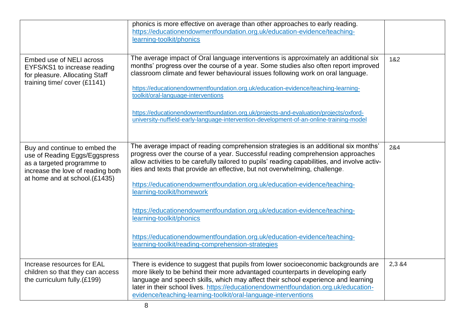|                                                                                                                                                                    | phonics is more effective on average than other approaches to early reading.<br>https://educationendowmentfoundation.org.uk/education-evidence/teaching-<br>learning-toolkit/phonics                                                                                                                                                                                                                                                                                                                                                                                          |         |
|--------------------------------------------------------------------------------------------------------------------------------------------------------------------|-------------------------------------------------------------------------------------------------------------------------------------------------------------------------------------------------------------------------------------------------------------------------------------------------------------------------------------------------------------------------------------------------------------------------------------------------------------------------------------------------------------------------------------------------------------------------------|---------|
| Embed use of NELI across<br>EYFS/KS1 to increase reading<br>for pleasure. Allocating Staff<br>training time/cover (£1141)                                          | The average impact of Oral language interventions is approximately an additional six<br>months' progress over the course of a year. Some studies also often report improved<br>classroom climate and fewer behavioural issues following work on oral language.<br>https://educationendowmentfoundation.org.uk/education-evidence/teaching-learning-<br>toolkit/oral-language-interventions<br>https://educationendowmentfoundation.org.uk/projects-and-evaluation/projects/oxford-<br>university-nuffield-early-language-intervention-development-of-an-online-training-model | 1&2     |
| Buy and continue to embed the<br>use of Reading Eggs/Eggspress<br>as a targeted programme to<br>increase the love of reading both<br>at home and at school.(£1435) | The average impact of reading comprehension strategies is an additional six months'<br>progress over the course of a year. Successful reading comprehension approaches<br>allow activities to be carefully tailored to pupils' reading capabilities, and involve activ-<br>ities and texts that provide an effective, but not overwhelming, challenge.<br>https://educationendowmentfoundation.org.uk/education-evidence/teaching-<br>learning-toolkit/homework                                                                                                               | 2&4     |
|                                                                                                                                                                    | https://educationendowmentfoundation.org.uk/education-evidence/teaching-<br>learning-toolkit/phonics<br>https://educationendowmentfoundation.org.uk/education-evidence/teaching-<br>learning-toolkit/reading-comprehension-strategies                                                                                                                                                                                                                                                                                                                                         |         |
| Increase resources for EAL<br>children so that they can access<br>the curriculum fully.(£199)                                                                      | There is evidence to suggest that pupils from lower socioeconomic backgrounds are<br>more likely to be behind their more advantaged counterparts in developing early<br>language and speech skills, which may affect their school experience and learning<br>later in their school lives. https://educationendowmentfoundation.org.uk/education-<br>evidence/teaching-learning-toolkit/oral-language-interventions                                                                                                                                                            | 2,3 & 4 |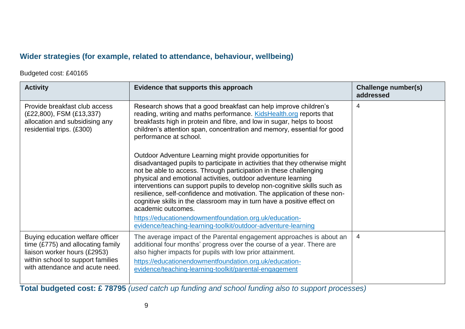#### **Wider strategies (for example, related to attendance, behaviour, wellbeing)**

Budgeted cost: £40165

| <b>Activity</b>                                                                                                                                                                 | Evidence that supports this approach                                                                                                                                                                                                                                                                                                                                                                                                                                                                                                      | <b>Challenge number(s)</b><br>addressed |
|---------------------------------------------------------------------------------------------------------------------------------------------------------------------------------|-------------------------------------------------------------------------------------------------------------------------------------------------------------------------------------------------------------------------------------------------------------------------------------------------------------------------------------------------------------------------------------------------------------------------------------------------------------------------------------------------------------------------------------------|-----------------------------------------|
| Provide breakfast club access<br>(£22,800), FSM (£13,337)<br>allocation and subsidising any<br>residential trips. (£300)                                                        | Research shows that a good breakfast can help improve children's<br>reading, writing and maths performance. KidsHealth.org reports that<br>breakfasts high in protein and fibre, and low in sugar, helps to boost<br>children's attention span, concentration and memory, essential for good<br>performance at school.                                                                                                                                                                                                                    |                                         |
|                                                                                                                                                                                 | Outdoor Adventure Learning might provide opportunities for<br>disadvantaged pupils to participate in activities that they otherwise might<br>not be able to access. Through participation in these challenging<br>physical and emotional activities, outdoor adventure learning<br>interventions can support pupils to develop non-cognitive skills such as<br>resilience, self-confidence and motivation. The application of these non-<br>cognitive skills in the classroom may in turn have a positive effect on<br>academic outcomes. |                                         |
|                                                                                                                                                                                 | https://educationendowmentfoundation.org.uk/education-<br>evidence/teaching-learning-toolkit/outdoor-adventure-learning                                                                                                                                                                                                                                                                                                                                                                                                                   |                                         |
| Buying education welfare officer<br>time $(E775)$ and allocating family<br>liaison worker hours (£2953)<br>within school to support families<br>with attendance and acute need. | The average impact of the Parental engagement approaches is about an<br>additional four months' progress over the course of a year. There are<br>also higher impacts for pupils with low prior attainment.<br>https://educationendowmentfoundation.org.uk/education-<br>evidence/teaching-learning-toolkit/parental-engagement                                                                                                                                                                                                            | $\overline{4}$                          |

**Total budgeted cost: £ 78795** *(used catch up funding and school funding also to support processes)*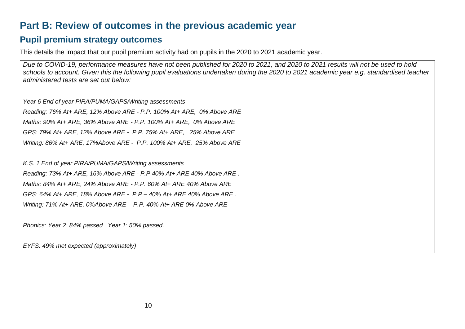### **Part B: Review of outcomes in the previous academic year**

#### **Pupil premium strategy outcomes**

This details the impact that our pupil premium activity had on pupils in the 2020 to 2021 academic year.

*Due to COVID-19, performance measures have not been published for 2020 to 2021, and 2020 to 2021 results will not be used to hold schools to account. Given this the following pupil evaluations undertaken during the 2020 to 2021 academic year e.g. standardised teacher administered tests are set out below:*

*Year 6 End of year PIRA/PUMA/GAPS/Writing assessments Reading: 76% At+ ARE, 12% Above ARE - P.P. 100% At+ ARE, 0% Above ARE Maths: 90% At+ ARE, 36% Above ARE - P.P. 100% At+ ARE, 0% Above ARE GPS: 79% At+ ARE, 12% Above ARE - P.P. 75% At+ ARE, 25% Above ARE Writing: 86% At+ ARE, 17%Above ARE - P.P. 100% At+ ARE, 25% Above ARE*

*K.S. 1 End of year PIRA/PUMA/GAPS/Writing assessments*

*Reading: 73% At+ ARE, 16% Above ARE - P.P 40% At+ ARE 40% Above ARE . Maths: 84% At+ ARE, 24% Above ARE - P.P. 60% At+ ARE 40% Above ARE GPS: 64% At+ ARE, 18% Above ARE - P.P – 40% At+ ARE 40% Above ARE . Writing: 71% At+ ARE, 0%Above ARE - P.P. 40% At+ ARE 0% Above ARE*

*Phonics: Year 2: 84% passed Year 1: 50% passed.*

*EYFS: 49% met expected (approximately)*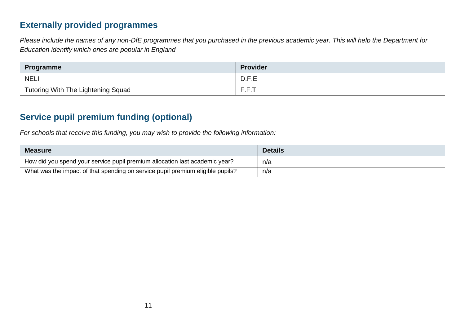#### **Externally provided programmes**

*Please include the names of any non-DfE programmes that you purchased in the previous academic year. This will help the Department for Education identify which ones are popular in England*

| <b>Programme</b>                          | <b>Provider</b> |
|-------------------------------------------|-----------------|
| <b>NELI</b>                               | D.F.E           |
| <b>Tutoring With The Lightening Squad</b> | F.F.T           |

### **Service pupil premium funding (optional)**

*For schools that receive this funding, you may wish to provide the following information:* 

| <b>Measure</b>                                                                 | <b>Details</b> |
|--------------------------------------------------------------------------------|----------------|
| How did you spend your service pupil premium allocation last academic year?    | n/a            |
| What was the impact of that spending on service pupil premium eligible pupils? | n/a            |